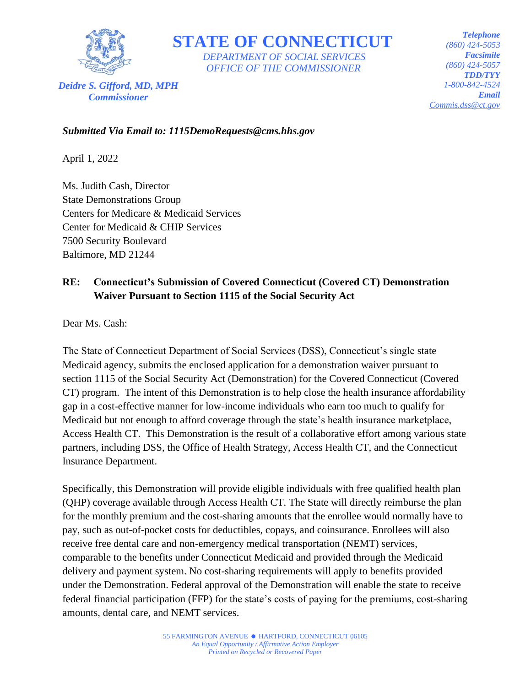

 **STATE OF CONNECTICUT**  *DEPARTMENT OF SOCIAL SERVICES OFFICE OF THE COMMISSIONER*

*Deidre S. Gifford, MD, MPH Commissioner*

*Telephone (860) 424-5053 Facsimile (860) 424-5057 TDD/TYY 1-800-842-4524 Email Commis.dss@ct.gov*

*Submitted Via Email to: 1115DemoRequests@cms.hhs.gov*

April 1, 2022

Ms. Judith Cash, Director State Demonstrations Group Centers for Medicare & Medicaid Services Center for Medicaid & CHIP Services 7500 Security Boulevard Baltimore, MD 21244

## **RE: Connecticut's Submission of Covered Connecticut (Covered CT) Demonstration Waiver Pursuant to Section 1115 of the Social Security Act**

Dear Ms. Cash:

The State of Connecticut Department of Social Services (DSS), Connecticut's single state Medicaid agency, submits the enclosed application for a demonstration waiver pursuant to section 1115 of the Social Security Act (Demonstration) for the Covered Connecticut (Covered CT) program. The intent of this Demonstration is to help close the health insurance affordability gap in a cost-effective manner for low-income individuals who earn too much to qualify for Medicaid but not enough to afford coverage through the state's health insurance marketplace, Access Health CT. This Demonstration is the result of a collaborative effort among various state partners, including DSS, the Office of Health Strategy, Access Health CT, and the Connecticut Insurance Department.

Specifically, this Demonstration will provide eligible individuals with free qualified health plan (QHP) coverage available through Access Health CT. The State will directly reimburse the plan for the monthly premium and the cost-sharing amounts that the enrollee would normally have to pay, such as out-of-pocket costs for deductibles, copays, and coinsurance. Enrollees will also receive free dental care and non-emergency medical transportation (NEMT) services, comparable to the benefits under Connecticut Medicaid and provided through the Medicaid delivery and payment system. No cost-sharing requirements will apply to benefits provided under the Demonstration. Federal approval of the Demonstration will enable the state to receive federal financial participation (FFP) for the state's costs of paying for the premiums, cost-sharing amounts, dental care, and NEMT services.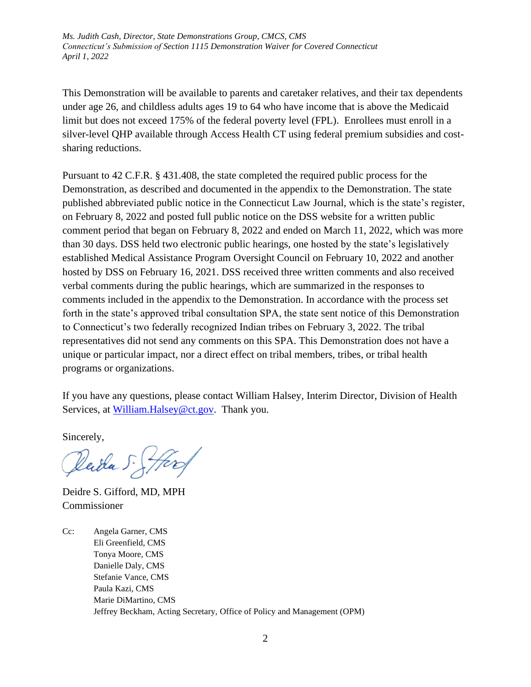*Ms. Judith Cash, Director, State Demonstrations Group, CMCS, CMS Connecticut's Submission of Section 1115 Demonstration Waiver for Covered Connecticut April 1, 2022*

This Demonstration will be available to parents and caretaker relatives, and their tax dependents under age 26, and childless adults ages 19 to 64 who have income that is above the Medicaid limit but does not exceed 175% of the federal poverty level (FPL). Enrollees must enroll in a silver-level QHP available through Access Health CT using federal premium subsidies and costsharing reductions.

Pursuant to 42 C.F.R. § 431.408, the state completed the required public process for the Demonstration, as described and documented in the appendix to the Demonstration. The state published abbreviated public notice in the Connecticut Law Journal, which is the state's register, on February 8, 2022 and posted full public notice on the DSS website for a written public comment period that began on February 8, 2022 and ended on March 11, 2022, which was more than 30 days. DSS held two electronic public hearings, one hosted by the state's legislatively established Medical Assistance Program Oversight Council on February 10, 2022 and another hosted by DSS on February 16, 2021. DSS received three written comments and also received verbal comments during the public hearings, which are summarized in the responses to comments included in the appendix to the Demonstration. In accordance with the process set forth in the state's approved tribal consultation SPA, the state sent notice of this Demonstration to Connecticut's two federally recognized Indian tribes on February 3, 2022. The tribal representatives did not send any comments on this SPA. This Demonstration does not have a unique or particular impact, nor a direct effect on tribal members, tribes, or tribal health programs or organizations.

If you have any questions, please contact William Halsey, Interim Director, Division of Health Services, at [William.Halsey@ct.gov.](mailto:William.Halsey@ct.gov) Thank you.

Sincerely,

Deida 5 / Hog

Deidre S. Gifford, MD, MPH Commissioner

Cc: Angela Garner, CMS Eli Greenfield, CMS Tonya Moore, CMS Danielle Daly, CMS Stefanie Vance, CMS Paula Kazi, CMS Marie DiMartino, CMS Jeffrey Beckham, Acting Secretary, Office of Policy and Management (OPM)